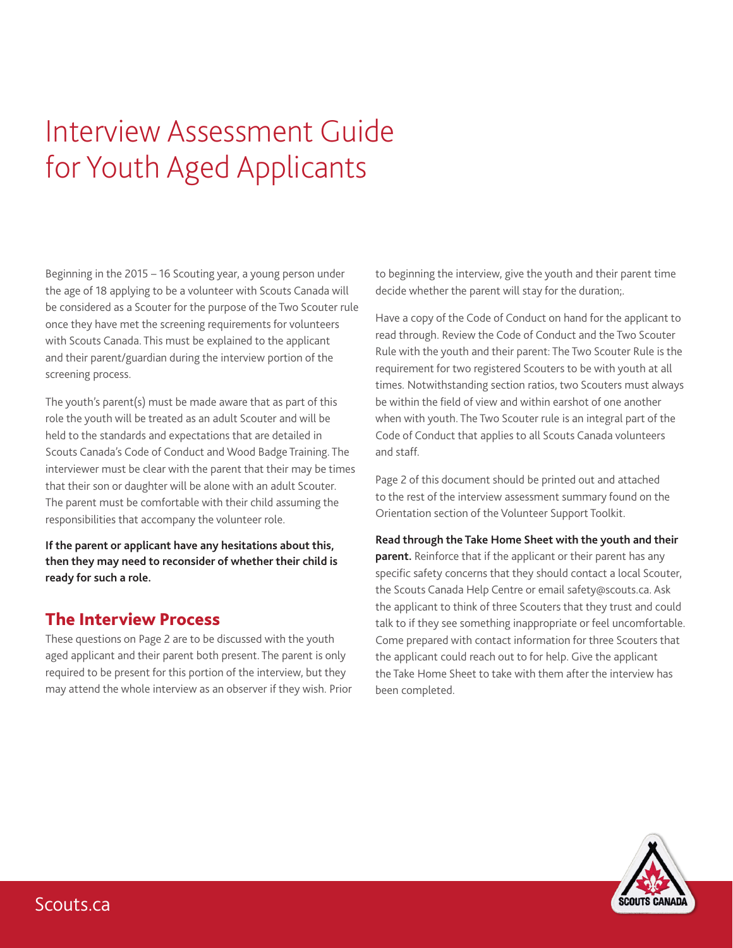# Interview Assessment Guide for Youth Aged Applicants

Beginning in the 2015 – 16 Scouting year, a young person under the age of 18 applying to be a volunteer with Scouts Canada will be considered as a Scouter for the purpose of the Two Scouter rule once they have met the screening requirements for volunteers with Scouts Canada. This must be explained to the applicant and their parent/guardian during the interview portion of the screening process.

The youth's parent(s) must be made aware that as part of this role the youth will be treated as an adult Scouter and will be held to the standards and expectations that are detailed in Scouts Canada's Code of Conduct and Wood Badge Training. The interviewer must be clear with the parent that their may be times that their son or daughter will be alone with an adult Scouter. The parent must be comfortable with their child assuming the responsibilities that accompany the volunteer role.

**If the parent or applicant have any hesitations about this, then they may need to reconsider of whether their child is ready for such a role.**

#### The Interview Process

These questions on Page 2 are to be discussed with the youth aged applicant and their parent both present. The parent is only required to be present for this portion of the interview, but they may attend the whole interview as an observer if they wish. Prior to beginning the interview, give the youth and their parent time decide whether the parent will stay for the duration;.

Have a copy of the Code of Conduct on hand for the applicant to read through. Review the Code of Conduct and the Two Scouter Rule with the youth and their parent: The Two Scouter Rule is the requirement for two registered Scouters to be with youth at all times. Notwithstanding section ratios, two Scouters must always be within the field of view and within earshot of one another when with youth. The Two Scouter rule is an integral part of the Code of Conduct that applies to all Scouts Canada volunteers and staff.

Page 2 of this document should be printed out and attached to the rest of the interview assessment summary found on the Orientation section of the Volunteer Support Toolkit.

#### **Read through the Take Home Sheet with the youth and their**

**parent.** Reinforce that if the applicant or their parent has any specific safety concerns that they should contact a local Scouter, the Scouts Canada Help Centre or email safety@scouts.ca. Ask the applicant to think of three Scouters that they trust and could talk to if they see something inappropriate or feel uncomfortable. Come prepared with contact information for three Scouters that the applicant could reach out to for help. Give the applicant the Take Home Sheet to take with them after the interview has been completed.

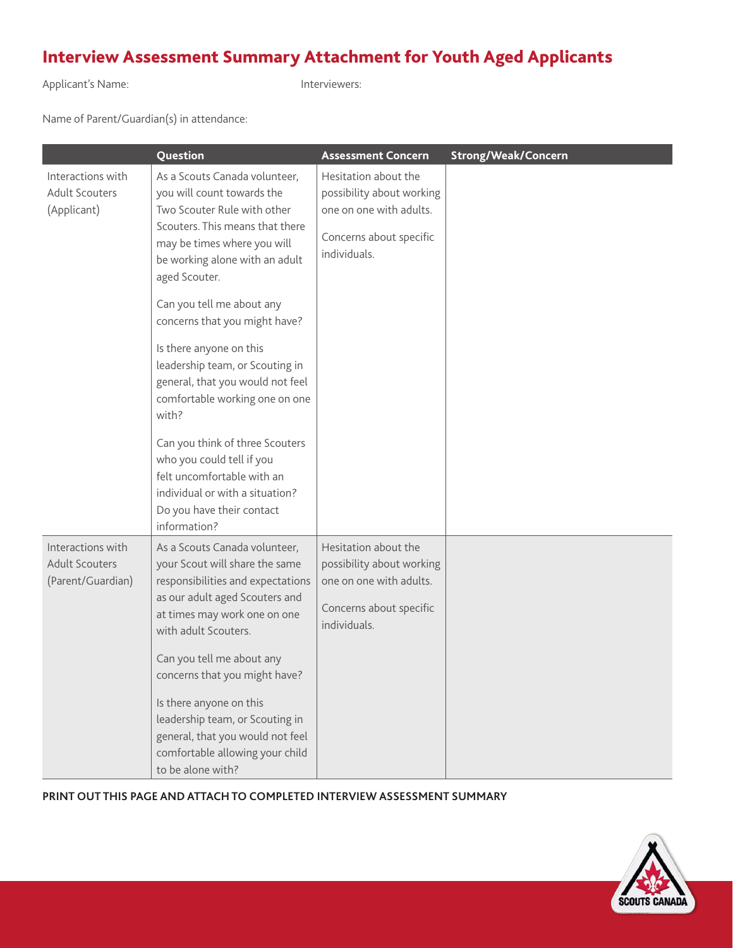## Interview Assessment Summary Attachment for Youth Aged Applicants

Applicant's Name: Interviewers:

Name of Parent/Guardian(s) in attendance:

|                                                                 | Question                                                                                                                                                                                                                                                                                                                                                                                                                                                                                                                                                                                                 | <b>Assessment Concern</b>                                                                                               | <b>Strong/Weak/Concern</b> |
|-----------------------------------------------------------------|----------------------------------------------------------------------------------------------------------------------------------------------------------------------------------------------------------------------------------------------------------------------------------------------------------------------------------------------------------------------------------------------------------------------------------------------------------------------------------------------------------------------------------------------------------------------------------------------------------|-------------------------------------------------------------------------------------------------------------------------|----------------------------|
| Interactions with<br><b>Adult Scouters</b><br>(Applicant)       | As a Scouts Canada volunteer,<br>you will count towards the<br>Two Scouter Rule with other<br>Scouters. This means that there<br>may be times where you will<br>be working alone with an adult<br>aged Scouter.<br>Can you tell me about any<br>concerns that you might have?<br>Is there anyone on this<br>leadership team, or Scouting in<br>general, that you would not feel<br>comfortable working one on one<br>with?<br>Can you think of three Scouters<br>who you could tell if you<br>felt uncomfortable with an<br>individual or with a situation?<br>Do you have their contact<br>information? | Hesitation about the<br>possibility about working<br>one on one with adults.<br>Concerns about specific<br>individuals. |                            |
| Interactions with<br><b>Adult Scouters</b><br>(Parent/Guardian) | As a Scouts Canada volunteer,<br>your Scout will share the same<br>responsibilities and expectations<br>as our adult aged Scouters and<br>at times may work one on one<br>with adult Scouters.<br>Can you tell me about any<br>concerns that you might have?<br>Is there anyone on this<br>leadership team, or Scouting in<br>general, that you would not feel<br>comfortable allowing your child<br>to be alone with?                                                                                                                                                                                   | Hesitation about the<br>possibility about working<br>one on one with adults.<br>Concerns about specific<br>individuals. |                            |

**PRINT OUT THIS PAGE AND ATTACH TO COMPLETED INTERVIEW ASSESSMENT SUMMARY**